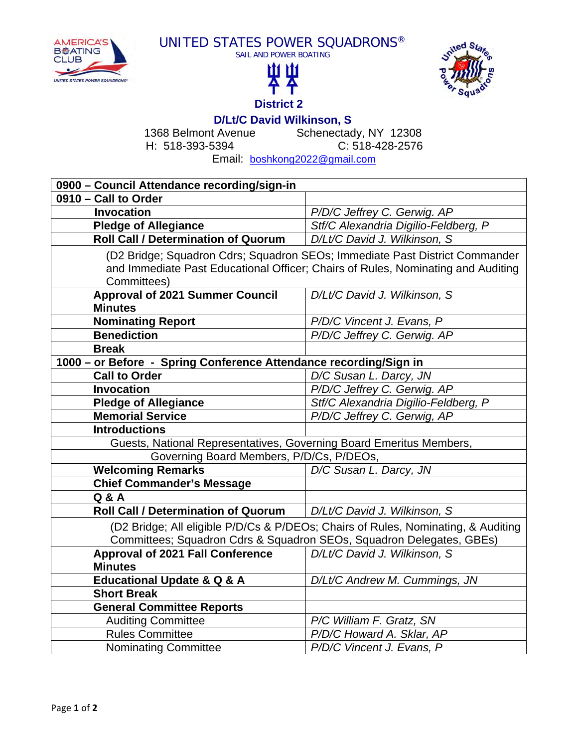







**D/Lt/C David Wilkinson, S**<br>Schenectach CHS Schenectach Schenectady, NY 12308 H: 518-393-5394 C: 518-428-2576

Email: boshkong2022@gmail.com

| 0900 - Council Attendance recording/sign-in                                       |                                      |
|-----------------------------------------------------------------------------------|--------------------------------------|
| 0910 - Call to Order                                                              |                                      |
| <b>Invocation</b>                                                                 | P/D/C Jeffrey C. Gerwig. AP          |
| <b>Pledge of Allegiance</b>                                                       | Stf/C Alexandria Digilio-Feldberg, P |
| <b>Roll Call / Determination of Quorum</b>                                        | D/Lt/C David J. Wilkinson, S         |
| (D2 Bridge; Squadron Cdrs; Squadron SEOs; Immediate Past District Commander       |                                      |
| and Immediate Past Educational Officer; Chairs of Rules, Nominating and Auditing  |                                      |
| Committees)                                                                       |                                      |
| <b>Approval of 2021 Summer Council</b>                                            | D/Lt/C David J. Wilkinson, S         |
| <b>Minutes</b>                                                                    |                                      |
| <b>Nominating Report</b>                                                          | P/D/C Vincent J. Evans, P            |
| <b>Benediction</b>                                                                | P/D/C Jeffrey C. Gerwig. AP          |
| <b>Break</b>                                                                      |                                      |
| 1000 - or Before - Spring Conference Attendance recording/Sign in                 |                                      |
| <b>Call to Order</b>                                                              | D/C Susan L. Darcy, JN               |
| <b>Invocation</b>                                                                 | P/D/C Jeffrey C. Gerwig. AP          |
| <b>Pledge of Allegiance</b>                                                       | Stf/C Alexandria Digilio-Feldberg, P |
| <b>Memorial Service</b>                                                           | P/D/C Jeffrey C. Gerwig, AP          |
| <b>Introductions</b>                                                              |                                      |
| Guests, National Representatives, Governing Board Emeritus Members,               |                                      |
| Governing Board Members, P/D/Cs, P/DEOs,                                          |                                      |
| <b>Welcoming Remarks</b>                                                          | D/C Susan L. Darcy, JN               |
| <b>Chief Commander's Message</b>                                                  |                                      |
| Q & A                                                                             |                                      |
| <b>Roll Call / Determination of Quorum</b>                                        | D/Lt/C David J. Wilkinson, S.        |
| (D2 Bridge; All eligible P/D/Cs & P/DEOs; Chairs of Rules, Nominating, & Auditing |                                      |
| Committees; Squadron Cdrs & Squadron SEOs, Squadron Delegates, GBEs)              |                                      |
| <b>Approval of 2021 Fall Conference</b>                                           | D/Lt/C David J. Wilkinson, S         |
| <b>Minutes</b>                                                                    |                                      |
| <b>Educational Update &amp; Q &amp; A</b>                                         | D/Lt/C Andrew M. Cummings, JN        |
| <b>Short Break</b>                                                                |                                      |
| <b>General Committee Reports</b>                                                  |                                      |
| <b>Auditing Committee</b>                                                         | P/C William F. Gratz, SN             |
| <b>Rules Committee</b>                                                            | P/D/C Howard A. Sklar, AP            |
| <b>Nominating Committee</b>                                                       | P/D/C Vincent J. Evans, P            |